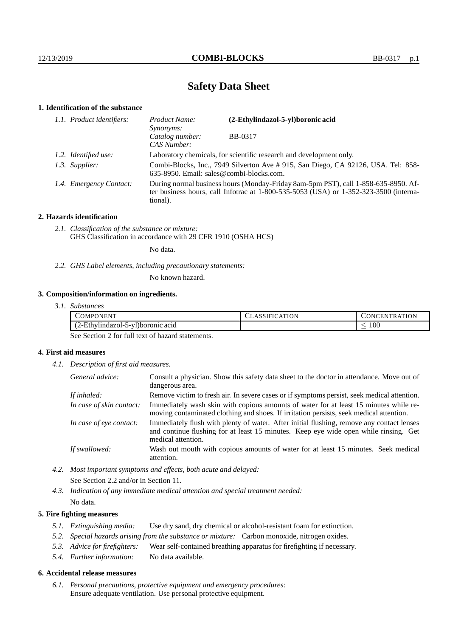# **Safety Data Sheet**

# **1. Identification of the substance**

| 1.1. Product identifiers: | Product Name:<br><i>Synonyms:</i>                                                                                                                                                           | (2-Ethylindazol-5-yl)boronic acid                                                 |  |
|---------------------------|---------------------------------------------------------------------------------------------------------------------------------------------------------------------------------------------|-----------------------------------------------------------------------------------|--|
|                           | Catalog number:<br>CAS Number:                                                                                                                                                              | <b>BB-0317</b>                                                                    |  |
| 1.2. Identified use:      | Laboratory chemicals, for scientific research and development only.                                                                                                                         |                                                                                   |  |
| 1.3. Supplier:            | 635-8950. Email: sales@combi-blocks.com.                                                                                                                                                    | Combi-Blocks, Inc., 7949 Silverton Ave # 915, San Diego, CA 92126, USA. Tel: 858- |  |
| 1.4. Emergency Contact:   | During normal business hours (Monday-Friday 8am-5pm PST), call 1-858-635-8950. Af-<br>ter business hours, call Infotrac at $1-800-535-5053$ (USA) or $1-352-323-3500$ (interna-<br>tional). |                                                                                   |  |

#### **2. Hazards identification**

*2.1. Classification of the substance or mixture:* GHS Classification in accordance with 29 CFR 1910 (OSHA HCS)

No data.

*2.2. GHS Label elements, including precautionary statements:*

No known hazard.

### **3. Composition/information on ingredients.**

| 3.1. Substances |
|-----------------|
|                 |

| COMPONENT                                                     | CLASSIFICATION | TRATION<br>CONCEN |
|---------------------------------------------------------------|----------------|-------------------|
| $\cdots$<br>(2-Ethylindazol-<br>-5-17<br>71)boronic acid<br>. |                | $100\,$<br>_      |

See Section 2 for full text of hazard statements.

#### **4. First aid measures**

*4.1. Description of first aid measures.*

| General advice:          | Consult a physician. Show this safety data sheet to the doctor in attendance. Move out of<br>dangerous area.                                                                                            |
|--------------------------|---------------------------------------------------------------------------------------------------------------------------------------------------------------------------------------------------------|
| If inhaled:              | Remove victim to fresh air. In severe cases or if symptoms persist, seek medical attention.                                                                                                             |
| In case of skin contact: | Immediately wash skin with copious amounts of water for at least 15 minutes while re-<br>moving contaminated clothing and shoes. If irritation persists, seek medical attention.                        |
| In case of eye contact:  | Immediately flush with plenty of water. After initial flushing, remove any contact lenses<br>and continue flushing for at least 15 minutes. Keep eye wide open while rinsing. Get<br>medical attention. |
| If swallowed:            | Wash out mouth with copious amounts of water for at least 15 minutes. Seek medical<br>attention.                                                                                                        |

*4.2. Most important symptoms and effects, both acute and delayed:* See Section 2.2 and/or in Section 11.

*4.3. Indication of any immediate medical attention and special treatment needed:* No data.

#### **5. Fire fighting measures**

- *5.1. Extinguishing media:* Use dry sand, dry chemical or alcohol-resistant foam for extinction.
- *5.2. Special hazards arising from the substance or mixture:* Carbon monoxide, nitrogen oxides.
- *5.3. Advice for firefighters:* Wear self-contained breathing apparatus for firefighting if necessary.
- *5.4. Further information:* No data available.

#### **6. Accidental release measures**

*6.1. Personal precautions, protective equipment and emergency procedures:* Ensure adequate ventilation. Use personal protective equipment.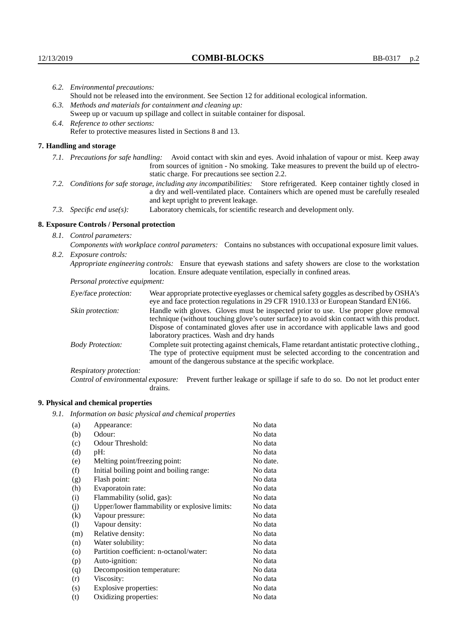| 6.2. Environmental precautions:                                                                                                                                                                                                                                    |                                                                                                                                                                                        |  |  |
|--------------------------------------------------------------------------------------------------------------------------------------------------------------------------------------------------------------------------------------------------------------------|----------------------------------------------------------------------------------------------------------------------------------------------------------------------------------------|--|--|
|                                                                                                                                                                                                                                                                    | Should not be released into the environment. See Section 12 for additional ecological information.                                                                                     |  |  |
|                                                                                                                                                                                                                                                                    | 6.3. Methods and materials for containment and cleaning up:                                                                                                                            |  |  |
| Sweep up or vacuum up spillage and collect in suitable container for disposal.                                                                                                                                                                                     |                                                                                                                                                                                        |  |  |
| 6.4. Reference to other sections:                                                                                                                                                                                                                                  |                                                                                                                                                                                        |  |  |
|                                                                                                                                                                                                                                                                    | Refer to protective measures listed in Sections 8 and 13.                                                                                                                              |  |  |
| 7. Handling and storage                                                                                                                                                                                                                                            |                                                                                                                                                                                        |  |  |
| 7.1. Precautions for safe handling: Avoid contact with skin and eyes. Avoid inhalation of vapour or mist. Keep away<br>from sources of ignition - No smoking. Take measures to prevent the build up of electro-<br>static charge. For precautions see section 2.2. |                                                                                                                                                                                        |  |  |
| 7.2. Conditions for safe storage, including any incompatibilities: Store refrigerated. Keep container tightly closed in<br>a dry and well-ventilated place. Containers which are opened must be carefully resealed<br>and kept upright to prevent leakage.         |                                                                                                                                                                                        |  |  |
| 7.3. Specific end use(s):                                                                                                                                                                                                                                          | Laboratory chemicals, for scientific research and development only.                                                                                                                    |  |  |
| 8. Exposure Controls / Personal protection                                                                                                                                                                                                                         |                                                                                                                                                                                        |  |  |
| 8.1. Control parameters:                                                                                                                                                                                                                                           |                                                                                                                                                                                        |  |  |
| Components with workplace control parameters: Contains no substances with occupational exposure limit values.                                                                                                                                                      |                                                                                                                                                                                        |  |  |
| 8.2. Exposure controls:                                                                                                                                                                                                                                            |                                                                                                                                                                                        |  |  |
|                                                                                                                                                                                                                                                                    | Appropriate engineering controls: Ensure that eyewash stations and safety showers are close to the workstation<br>location. Ensure adequate ventilation, especially in confined areas. |  |  |
| Personal protective equipment:                                                                                                                                                                                                                                     |                                                                                                                                                                                        |  |  |
| Eye/face protection:                                                                                                                                                                                                                                               | Wear appropriate protective eyeglasses or chemical safety goggles as described by OSHA's<br>eye and face protection regulations in 29 CFR 1910.133 or European Standard EN166.         |  |  |
| Skin protection:                                                                                                                                                                                                                                                   | Handle with gloves. Gloves must be inspected prior to use. Use proper glove removal<br>technique (without touching glove's outer surface) to avoid skin contact with this product.     |  |  |

| Eye/face protection:                                                                                                                                                                                                                                                            | Wear appropriate protective eyeglasses or chemical safety goggles as described by OSHA's<br>eye and face protection regulations in 29 CFR 1910.133 or European Standard EN166.                                                                                                                                         |  |  |
|---------------------------------------------------------------------------------------------------------------------------------------------------------------------------------------------------------------------------------------------------------------------------------|------------------------------------------------------------------------------------------------------------------------------------------------------------------------------------------------------------------------------------------------------------------------------------------------------------------------|--|--|
| Skin protection:                                                                                                                                                                                                                                                                | Handle with gloves. Gloves must be inspected prior to use. Use proper glove removal<br>technique (without touching glove's outer surface) to avoid skin contact with this product.<br>Dispose of contaminated gloves after use in accordance with applicable laws and good<br>laboratory practices. Wash and dry hands |  |  |
| Complete suit protecting against chemicals, Flame retardant antistatic protective clothing.,<br><b>Body Protection:</b><br>The type of protective equipment must be selected according to the concentration and<br>amount of the dangerous substance at the specific workplace. |                                                                                                                                                                                                                                                                                                                        |  |  |
| Respiratory protection:                                                                                                                                                                                                                                                         |                                                                                                                                                                                                                                                                                                                        |  |  |
| Control of environmental exposure:                                                                                                                                                                                                                                              | Prevent further leakage or spillage if safe to do so. Do not let product enter<br>drains.                                                                                                                                                                                                                              |  |  |

# **9. Physical and chemical properties**

*9.1. Information on basic physical and chemical properties*

| (a)                        | Appearance:                                   | No data  |
|----------------------------|-----------------------------------------------|----------|
| (b)                        | Odour:                                        | No data  |
| (c)                        | Odour Threshold:                              | No data  |
| (d)                        | pH:                                           | No data  |
| (e)                        | Melting point/freezing point:                 | No date. |
| (f)                        | Initial boiling point and boiling range:      | No data  |
| (g)                        | Flash point:                                  | No data  |
| (h)                        | Evaporatoin rate:                             | No data  |
| (i)                        | Flammability (solid, gas):                    | No data  |
| (j)                        | Upper/lower flammability or explosive limits: | No data  |
| $\left( k\right)$          | Vapour pressure:                              | No data  |
| $\left( \mathrm{l}\right)$ | Vapour density:                               | No data  |
| (m)                        | Relative density:                             | No data  |
| (n)                        | Water solubility:                             | No data  |
| $\circ$                    | Partition coefficient: n-octanol/water:       | No data  |
| (p)                        | Auto-ignition:                                | No data  |
| (q)                        | Decomposition temperature:                    | No data  |
| (r)                        | Viscosity:                                    | No data  |
| (s)                        | Explosive properties:                         | No data  |
| (t)                        | Oxidizing properties:                         | No data  |